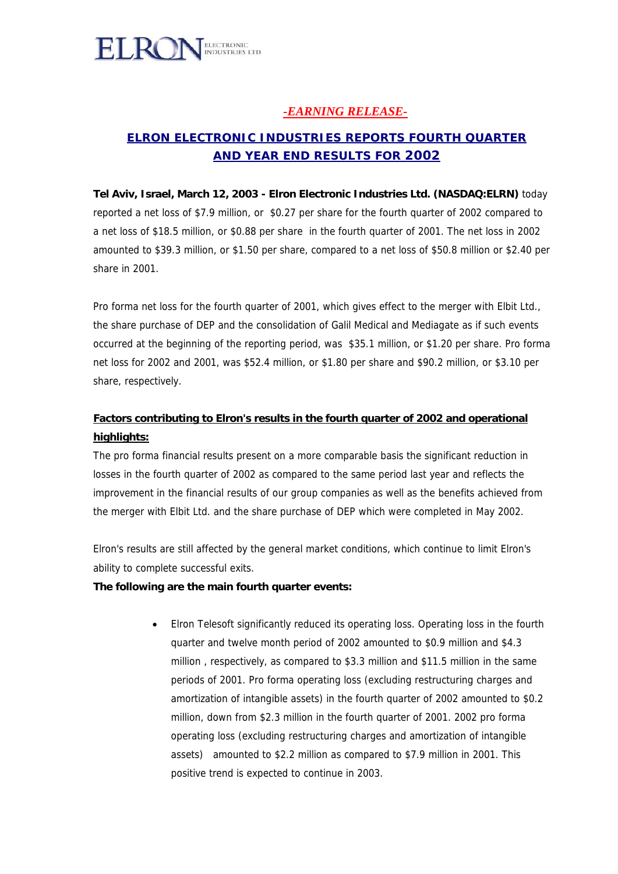

## *-EARNING RELEASE-*

# *ELRON ELECTRONIC INDUSTRIES REPORTS FOURTH QUARTER AND YEAR END RESULTS* **FOR 2002**

**Tel Aviv, Israel, March 12, 2003 - Elron Electronic Industries Ltd. (NASDAQ:ELRN)** today reported a net loss of \$7.9 million, or \$0.27 per share for the fourth quarter of 2002 compared to a net loss of \$18.5 million, or \$0.88 per share in the fourth quarter of 2001. The net loss in 2002 amounted to \$39.3 million, or \$1.50 per share, compared to a net loss of \$50.8 million or \$2.40 per share in 2001.

Pro forma net loss for the fourth quarter of 2001, which gives effect to the merger with Elbit Ltd., the share purchase of DEP and the consolidation of Galil Medical and Mediagate as if such events occurred at the beginning of the reporting period, was \$35.1 million, or \$1.20 per share. Pro forma net loss for 2002 and 2001, was \$52.4 million, or \$1.80 per share and \$90.2 million, or \$3.10 per share, respectively.

## **Factors contributing to Elron's results in the fourth quarter of 2002 and operational highlights:**

The pro forma financial results present on a more comparable basis the significant reduction in losses in the fourth quarter of 2002 as compared to the same period last year and reflects the improvement in the financial results of our group companies as well as the benefits achieved from the merger with Elbit Ltd. and the share purchase of DEP which were completed in May 2002.

Elron's results are still affected by the general market conditions, which continue to limit Elron's ability to complete successful exits.

### **The following are the main fourth quarter events:**

• Elron Telesoft significantly reduced its operating loss. Operating loss in the fourth quarter and twelve month period of 2002 amounted to \$0.9 million and \$4.3 million , respectively, as compared to \$3.3 million and \$11.5 million in the same periods of 2001. Pro forma operating loss (excluding restructuring charges and amortization of intangible assets) in the fourth quarter of 2002 amounted to \$0.2 million, down from \$2.3 million in the fourth quarter of 2001. 2002 pro forma operating loss (excluding restructuring charges and amortization of intangible assets) amounted to \$2.2 million as compared to \$7.9 million in 2001. This positive trend is expected to continue in 2003.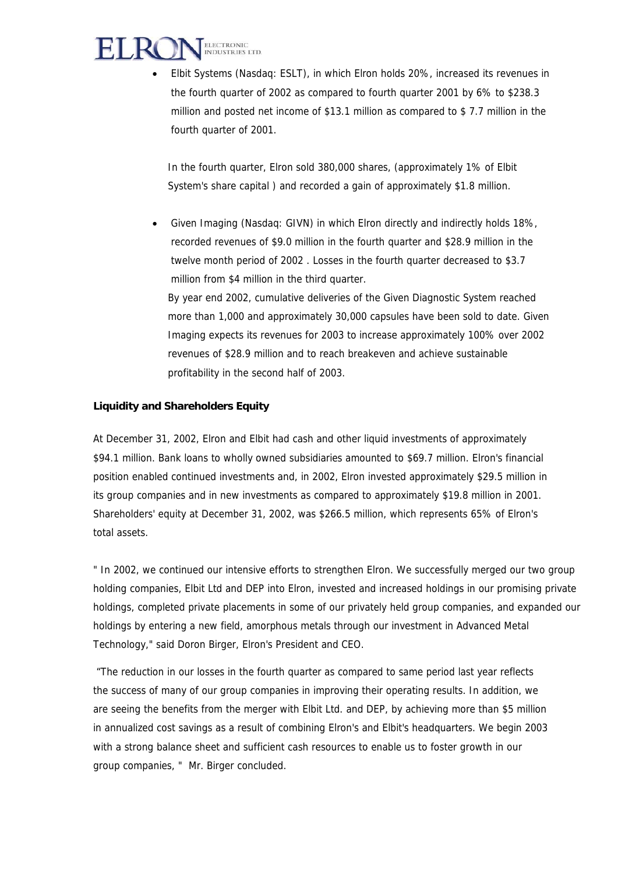

• Elbit Systems (Nasdaq: ESLT), in which Elron holds 20%, increased its revenues in the fourth quarter of 2002 as compared to fourth quarter 2001 by 6% to \$238.3 million and posted net income of \$13.1 million as compared to \$ 7.7 million in the fourth quarter of 2001.

In the fourth quarter, Elron sold 380,000 shares, (approximately 1% of Elbit System's share capital ) and recorded a gain of approximately \$1.8 million.

• Given Imaging (Nasdaq: GIVN) in which Elron directly and indirectly holds 18%, recorded revenues of \$9.0 million in the fourth quarter and \$28.9 million in the twelve month period of 2002 . Losses in the fourth quarter decreased to \$3.7 million from \$4 million in the third quarter. By year end 2002, cumulative deliveries of the Given Diagnostic System reached more than 1,000 and approximately 30,000 capsules have been sold to date. Given Imaging expects its revenues for 2003 to increase approximately 100% over 2002 revenues of \$28.9 million and to reach breakeven and achieve sustainable profitability in the second half of 2003.

### **Liquidity and Shareholders Equity**

At December 31, 2002, Elron and Elbit had cash and other liquid investments of approximately \$94.1 million. Bank loans to wholly owned subsidiaries amounted to \$69.7 million. Elron's financial position enabled continued investments and, in 2002, Elron invested approximately \$29.5 million in its group companies and in new investments as compared to approximately \$19.8 million in 2001. Shareholders' equity at December 31, 2002, was \$266.5 million, which represents 65% of Elron's total assets.

" In 2002, we continued our intensive efforts to strengthen Elron. We successfully merged our two group holding companies, Elbit Ltd and DEP into Elron, invested and increased holdings in our promising private holdings, completed private placements in some of our privately held group companies, and expanded our holdings by entering a new field, amorphous metals through our investment in Advanced Metal Technology," said Doron Birger, Elron's President and CEO.

 "The reduction in our losses in the fourth quarter as compared to same period last year reflects the success of many of our group companies in improving their operating results. In addition, we are seeing the benefits from the merger with Elbit Ltd. and DEP, by achieving more than \$5 million in annualized cost savings as a result of combining Elron's and Elbit's headquarters. We begin 2003 with a strong balance sheet and sufficient cash resources to enable us to foster growth in our group companies, " Mr. Birger concluded.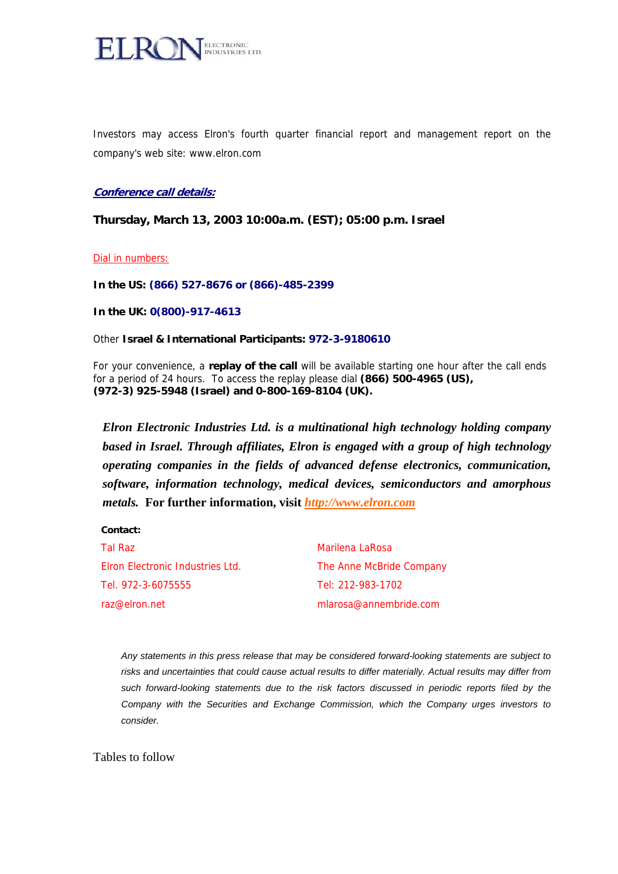

Investors may access Elron's fourth quarter financial report and management report on the company's web site: [www.elron.com](http://www.elron.com/)

#### **Conference call details:**

**Thursday, March 13, 2003 10:00a.m. (EST); 05:00 p.m. Israel**

#### Dial in numbers:

**In the US: (866) 527-8676 or (866)-485-2399**

**In the UK: 0(800)-917-4613**

#### Other **Israel & International Participants: 972-3-9180610**

For your convenience, a **replay of the call** will be available starting one hour after the call ends for a period of 24 hours. To access the replay please dial **(866) 500-4965 (US), (972-3) 925-5948 (Israel) and 0-800-169-8104 (UK).** 

*Elron Electronic Industries Ltd. is a multinational high technology holding company based in Israel. Through affiliates, Elron is engaged with a group of high technology operating companies in the fields of advanced defense electronics, communication, software, information technology, medical devices, semiconductors and amorphous metals.* **For further information, visit** *[http://www.elron.com](http://www.elron.com/)*

#### **Contact:**

| Tal Raz                          | Marilena LaRosa          |
|----------------------------------|--------------------------|
| Elron Electronic Industries Ltd. | The Anne McBride Company |
| Tel. 972-3-6075555               | Tel: 212-983-1702        |
| raz@elron.net_                   | mlarosa@annembride.com   |

*Any statements in this press release that may be considered forward-looking statements are subject to risks and uncertainties that could cause actual results to differ materially. Actual results may differ from such forward-looking statements due to the risk factors discussed in periodic reports filed by the Company with the Securities and Exchange Commission, which the Company urges investors to consider.* 

Tables to follow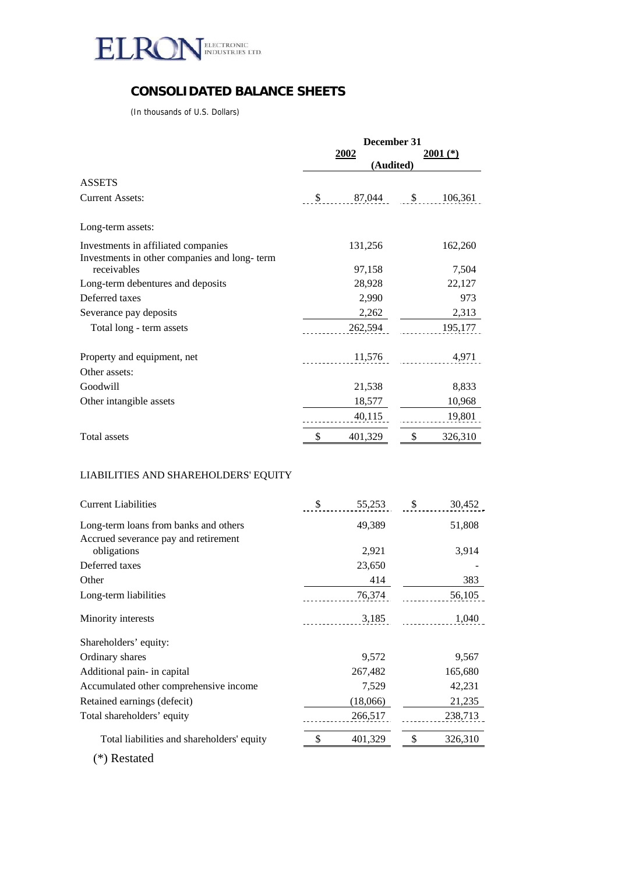

## **CONSOLIDATED BALANCE SHEETS**

(In thousands of U.S. Dollars)

|                                                                                     |           | December 31 |              |         |  |  |
|-------------------------------------------------------------------------------------|-----------|-------------|--------------|---------|--|--|
|                                                                                     |           | <u>2002</u> | $2001$ $(*)$ |         |  |  |
|                                                                                     | (Audited) |             |              |         |  |  |
| <b>ASSETS</b>                                                                       |           |             |              |         |  |  |
| <b>Current Assets:</b>                                                              | \$        | 87,044      | \$           | 106,361 |  |  |
| Long-term assets:                                                                   |           |             |              |         |  |  |
| Investments in affiliated companies<br>Investments in other companies and long-term |           | 131,256     |              | 162,260 |  |  |
| receivables                                                                         |           | 97,158      |              | 7,504   |  |  |
| Long-term debentures and deposits                                                   |           | 28,928      |              | 22,127  |  |  |
| Deferred taxes                                                                      |           | 2,990       |              | 973     |  |  |
| Severance pay deposits                                                              |           | 2,262       |              | 2,313   |  |  |
| Total long - term assets                                                            |           | 262,594     |              | 195,177 |  |  |
| Property and equipment, net<br>Other assets:                                        |           | 11,576      |              | 4,971   |  |  |
| Goodwill                                                                            |           | 21,538      |              | 8,833   |  |  |
| Other intangible assets                                                             |           | 18,577      |              | 10,968  |  |  |
|                                                                                     |           | 40,115      |              | 19,801  |  |  |
| <b>Total assets</b>                                                                 | \$        | 401,329     | \$           | 326,310 |  |  |
|                                                                                     |           |             |              |         |  |  |

### LIABILITIES AND SHAREHOLDERS' EQUITY

| <b>Current Liabilities</b>                 | \$<br>55,253 |          | \$ | 30,452  |  |  |
|--------------------------------------------|--------------|----------|----|---------|--|--|
| Long-term loans from banks and others      |              | 49,389   |    | 51,808  |  |  |
| Accrued severance pay and retirement       |              |          |    |         |  |  |
| obligations                                |              | 2,921    |    | 3,914   |  |  |
| Deferred taxes                             |              | 23,650   |    |         |  |  |
| Other                                      |              | 414      |    | 383     |  |  |
| Long-term liabilities                      |              | 76,374   |    | 56,105  |  |  |
| Minority interests                         |              | 3,185    |    | 1,040   |  |  |
| Shareholders' equity:                      |              |          |    |         |  |  |
| Ordinary shares                            |              | 9,572    |    | 9,567   |  |  |
| Additional pain- in capital                |              | 267,482  |    | 165,680 |  |  |
| Accumulated other comprehensive income     |              | 7,529    |    | 42,231  |  |  |
| Retained earnings (defecit)                |              | (18,066) |    | 21,235  |  |  |
| Total shareholders' equity                 |              | 266,517  |    | 238,713 |  |  |
| Total liabilities and shareholders' equity | \$           | 401,329  | S  | 326,310 |  |  |

(\*) Restated